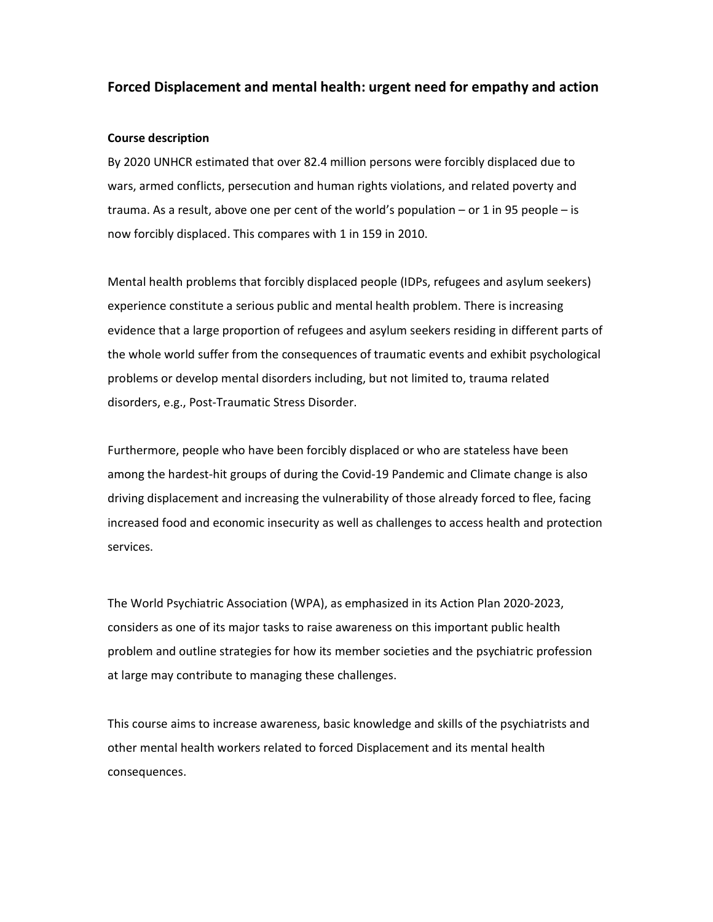# Forced Displacement and mental health: urgent need for empathy and action

### Course description

By 2020 UNHCR estimated that over 82.4 million persons were forcibly displaced due to wars, armed conflicts, persecution and human rights violations, and related poverty and trauma. As a result, above one per cent of the world's population – or 1 in 95 people – is now forcibly displaced. This compares with 1 in 159 in 2010.

Mental health problems that forcibly displaced people (IDPs, refugees and asylum seekers) experience constitute a serious public and mental health problem. There is increasing evidence that a large proportion of refugees and asylum seekers residing in different parts of the whole world suffer from the consequences of traumatic events and exhibit psychological problems or develop mental disorders including, but not limited to, trauma related disorders, e.g., Post-Traumatic Stress Disorder.

Furthermore, people who have been forcibly displaced or who are stateless have been among the hardest-hit groups of during the Covid-19 Pandemic and Climate change is also driving displacement and increasing the vulnerability of those already forced to flee, facing increased food and economic insecurity as well as challenges to access health and protection services.

The World Psychiatric Association (WPA), as emphasized in its Action Plan 2020-2023, considers as one of its major tasks to raise awareness on this important public health problem and outline strategies for how its member societies and the psychiatric profession at large may contribute to managing these challenges.

This course aims to increase awareness, basic knowledge and skills of the psychiatrists and other mental health workers related to forced Displacement and its mental health consequences.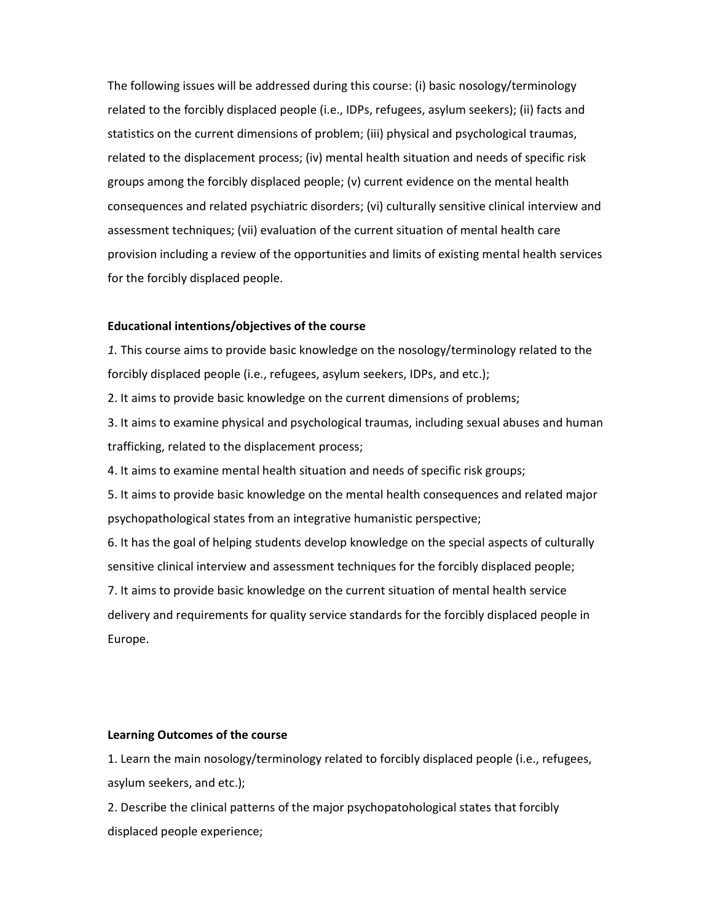The following issues will be addressed during this course: (i) basic nosology/terminology related to the forcibly displaced people (i.e., IDPs, refugees, asylum seekers); (ii) facts and statistics on the current dimensions of problem; (iii) physical and psychological traumas, related to the displacement process; (iv) mental health situation and needs of specific risk groups among the forcibly displaced people; (v) current evidence on the mental health consequences and related psychiatric disorders; (vi) culturally sensitive clinical interview and assessment techniques; (vii) evaluation of the current situation of mental health care provision including a review of the opportunities and limits of existing mental health services for the forcibly displaced people.

#### Educational intentions/objectives of the course

1. This course aims to provide basic knowledge on the nosology/terminology related to the forcibly displaced people (i.e., refugees, asylum seekers, IDPs, and etc.);

2. It aims to provide basic knowledge on the current dimensions of problems;

3. It aims to examine physical and psychological traumas, including sexual abuses and human trafficking, related to the displacement process;

4. It aims to examine mental health situation and needs of specific risk groups;

5. It aims to provide basic knowledge on the mental health consequences and related major psychopathological states from an integrative humanistic perspective;

6. It has the goal of helping students develop knowledge on the special aspects of culturally sensitive clinical interview and assessment techniques for the forcibly displaced people;

7. It aims to provide basic knowledge on the current situation of mental health service delivery and requirements for quality service standards for the forcibly displaced people in Europe.

#### Learning Outcomes of the course

1. Learn the main nosology/terminology related to forcibly displaced people (i.e., refugees, asylum seekers, and etc.);

2. Describe the clinical patterns of the major psychopatohological states that forcibly displaced people experience;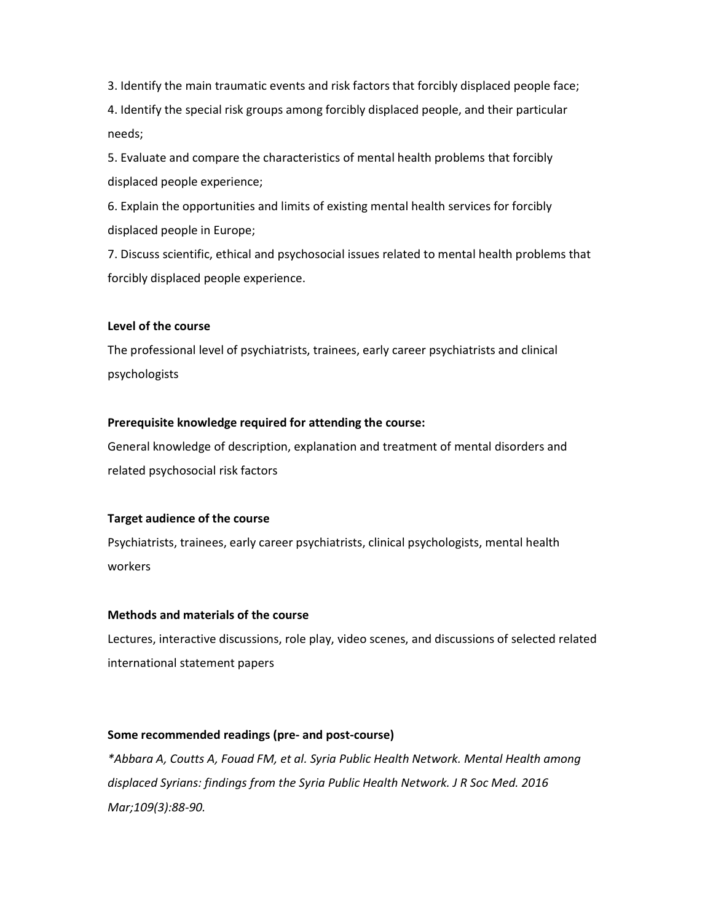3. Identify the main traumatic events and risk factors that forcibly displaced people face;

4. Identify the special risk groups among forcibly displaced people, and their particular needs;

5. Evaluate and compare the characteristics of mental health problems that forcibly displaced people experience;

6. Explain the opportunities and limits of existing mental health services for forcibly displaced people in Europe;

7. Discuss scientific, ethical and psychosocial issues related to mental health problems that forcibly displaced people experience.

# Level of the course

The professional level of psychiatrists, trainees, early career psychiatrists and clinical psychologists

## Prerequisite knowledge required for attending the course:

General knowledge of description, explanation and treatment of mental disorders and related psychosocial risk factors

# Target audience of the course

Psychiatrists, trainees, early career psychiatrists, clinical psychologists, mental health workers

### Methods and materials of the course

Lectures, interactive discussions, role play, video scenes, and discussions of selected related international statement papers

## Some recommended readings (pre- and post-course)

\*Abbara A, Coutts A, Fouad FM, et al. Syria Public Health Network. Mental Health among displaced Syrians: findings from the Syria Public Health Network. J R Soc Med. 2016 Mar;109(3):88-90.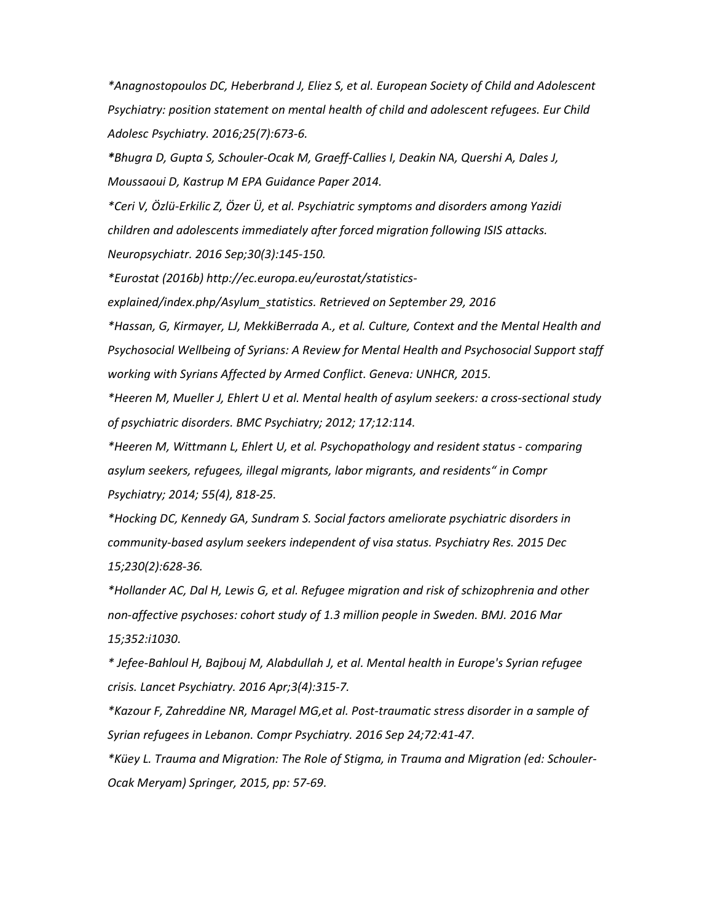\*Anagnostopoulos DC, Heberbrand J, Eliez S, et al. European Society of Child and Adolescent Psychiatry: position statement on mental health of child and adolescent refugees. Eur Child Adolesc Psychiatry. 2016;25(7):673-6.

\*Bhugra D, Gupta S, Schouler-Ocak M, Graeff-Callies I, Deakin NA, Quershi A, Dales J, Moussaoui D, Kastrup M EPA Guidance Paper 2014.

\*Ceri V, Özlü-Erkilic Z, Özer Ü, et al. Psychiatric symptoms and disorders among Yazidi children and adolescents immediately after forced migration following ISIS attacks. Neuropsychiatr. 2016 Sep;30(3):145-150.

\*Eurostat (2016b) http://ec.europa.eu/eurostat/statistics-

explained/index.php/Asylum\_statistics. Retrieved on September 29, 2016

\*Hassan, G, Kirmayer, LJ, MekkiBerrada A., et al. Culture, Context and the Mental Health and Psychosocial Wellbeing of Syrians: A Review for Mental Health and Psychosocial Support staff working with Syrians Affected by Armed Conflict. Geneva: UNHCR, 2015.

\*Heeren M, Mueller J, Ehlert U et al. Mental health of asylum seekers: a cross-sectional study of psychiatric disorders. BMC Psychiatry; 2012; 17;12:114.

\*Heeren M, Wittmann L, Ehlert U, et al. Psychopathology and resident status - comparing asylum seekers, refugees, illegal migrants, labor migrants, and residents" in Compr Psychiatry; 2014; 55(4), 818-25.

\*Hocking DC, Kennedy GA, Sundram S. Social factors ameliorate psychiatric disorders in community-based asylum seekers independent of visa status. Psychiatry Res. 2015 Dec 15;230(2):628-36.

\*Hollander AC, Dal H, Lewis G, et al. Refugee migration and risk of schizophrenia and other non-affective psychoses: cohort study of 1.3 million people in Sweden. BMJ. 2016 Mar 15;352:i1030.

\* Jefee-Bahloul H, Bajbouj M, Alabdullah J, et al. Mental health in Europe's Syrian refugee crisis. Lancet Psychiatry. 2016 Apr;3(4):315-7.

\*Kazour F, Zahreddine NR, Maragel MG,et al. Post-traumatic stress disorder in a sample of Syrian refugees in Lebanon. Compr Psychiatry. 2016 Sep 24;72:41-47.

\*Küey L. Trauma and Migration: The Role of Stigma, in Trauma and Migration (ed: Schouler-Ocak Meryam) Springer, 2015, pp: 57-69.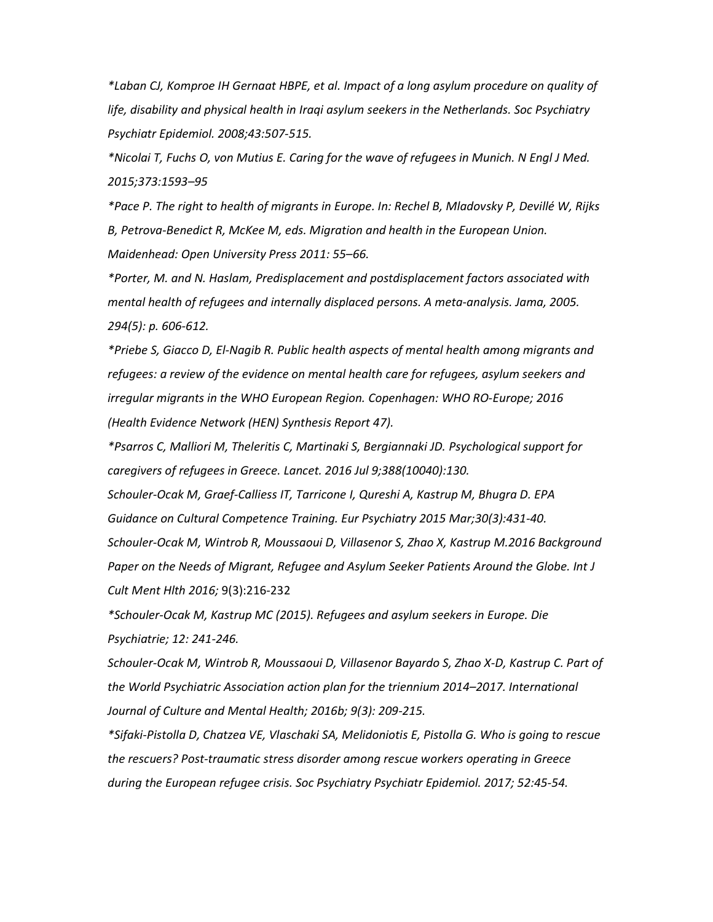\*Laban CJ, Komproe IH Gernaat HBPE, et al. Impact of a long asylum procedure on quality of life, disability and physical health in Iraqi asylum seekers in the Netherlands. Soc Psychiatry Psychiatr Epidemiol. 2008;43:507-515.

\*Nicolai T, Fuchs O, von Mutius E. Caring for the wave of refugees in Munich. N Engl J Med. 2015;373:1593–95

\*Pace P. The right to health of migrants in Europe. In: Rechel B, Mladovsky P, Devillé W, Rijks B, Petrova-Benedict R, McKee M, eds. Migration and health in the European Union. Maidenhead: Open University Press 2011: 55–66.

\*Porter, M. and N. Haslam, Predisplacement and postdisplacement factors associated with mental health of refugees and internally displaced persons. A meta-analysis. Jama, 2005. 294(5): p. 606-612.

\*Priebe S, Giacco D, El-Nagib R. Public health aspects of mental health among migrants and refugees: a review of the evidence on mental health care for refugees, asylum seekers and irregular migrants in the WHO European Region. Copenhagen: WHO RO-Europe; 2016 (Health Evidence Network (HEN) Synthesis Report 47).

\*Psarros C, Malliori M, Theleritis C, Martinaki S, Bergiannaki JD. Psychological support for caregivers of refugees in Greece. Lancet. 2016 Jul 9;388(10040):130.

Schouler-Ocak M, Graef-Calliess IT, Tarricone I, Qureshi A, Kastrup M, Bhugra D. EPA Guidance on Cultural Competence Training. Eur Psychiatry 2015 Mar;30(3):431-40. Schouler-Ocak M, Wintrob R, Moussaoui D, Villasenor S, Zhao X, Kastrup M.2016 Background Paper on the Needs of Migrant, Refugee and Asylum Seeker Patients Around the Globe. Int J Cult Ment Hlth 2016; 9(3):216-232

\*Schouler-Ocak M, Kastrup MC (2015). Refugees and asylum seekers in Europe. Die Psychiatrie; 12: 241-246.

Schouler-Ocak M, Wintrob R, Moussaoui D, Villasenor Bayardo S, Zhao X-D, Kastrup C. Part of the World Psychiatric Association action plan for the triennium 2014–2017. International Journal of Culture and Mental Health; 2016b; 9(3): 209-215.

\*Sifaki-Pistolla D, Chatzea VE, Vlaschaki SA, Melidoniotis E, Pistolla G. Who is going to rescue the rescuers? Post-traumatic stress disorder among rescue workers operating in Greece during the European refugee crisis. Soc Psychiatry Psychiatr Epidemiol. 2017; 52:45-54.